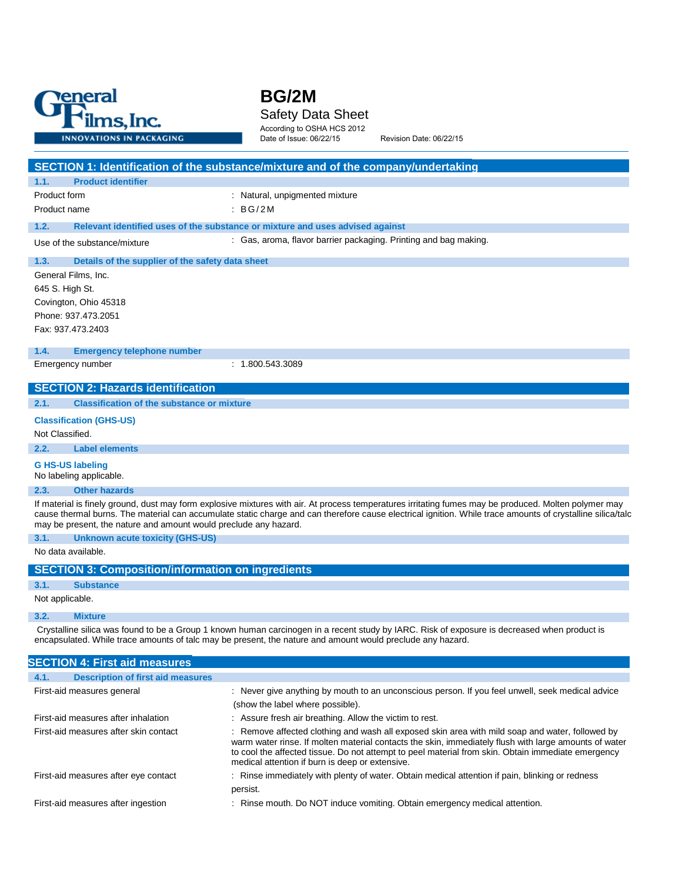

# **BG/2M** Safety Data Sheet

According to OSHA HCS 2012

Date of Issue: 06/22/15 Revision Date: 06/22/15

| 1.1.<br><b>Product identifier</b>                                |                                                                                                                                                                                                                                                                                                                     |
|------------------------------------------------------------------|---------------------------------------------------------------------------------------------------------------------------------------------------------------------------------------------------------------------------------------------------------------------------------------------------------------------|
| Product form                                                     | : Natural, unpigmented mixture                                                                                                                                                                                                                                                                                      |
| Product name                                                     | $\therefore$ BG/2M                                                                                                                                                                                                                                                                                                  |
| 1.2.                                                             | Relevant identified uses of the substance or mixture and uses advised against                                                                                                                                                                                                                                       |
| Use of the substance/mixture                                     | : Gas, aroma, flavor barrier packaging. Printing and bag making.                                                                                                                                                                                                                                                    |
| 1.3.<br>Details of the supplier of the safety data sheet         |                                                                                                                                                                                                                                                                                                                     |
| General Films, Inc.                                              |                                                                                                                                                                                                                                                                                                                     |
| 645 S. High St.                                                  |                                                                                                                                                                                                                                                                                                                     |
| Covington, Ohio 45318                                            |                                                                                                                                                                                                                                                                                                                     |
| Phone: 937.473.2051                                              |                                                                                                                                                                                                                                                                                                                     |
| Fax: 937.473.2403                                                |                                                                                                                                                                                                                                                                                                                     |
| 1.4.<br><b>Emergency telephone number</b>                        |                                                                                                                                                                                                                                                                                                                     |
| Emergency number                                                 | : 1.800.543.3089                                                                                                                                                                                                                                                                                                    |
| <b>SECTION 2: Hazards identification</b>                         |                                                                                                                                                                                                                                                                                                                     |
| 2.1.<br><b>Classification of the substance or mixture</b>        |                                                                                                                                                                                                                                                                                                                     |
| <b>Classification (GHS-US)</b>                                   |                                                                                                                                                                                                                                                                                                                     |
| Not Classified.                                                  |                                                                                                                                                                                                                                                                                                                     |
| 2.2.<br><b>Label elements</b>                                    |                                                                                                                                                                                                                                                                                                                     |
| <b>G HS-US labeling</b><br>No labeling applicable.               |                                                                                                                                                                                                                                                                                                                     |
| 2.3.<br><b>Other hazards</b>                                     |                                                                                                                                                                                                                                                                                                                     |
| may be present, the nature and amount would preclude any hazard. | If material is finely ground, dust may form explosive mixtures with air. At process temperatures irritating fumes may be produced. Molten polymer may<br>cause thermal burns. The material can accumulate static charge and can therefore cause electrical ignition. While trace amounts of crystalline silica/talc |
| 3.1.<br><b>Unknown acute toxicity (GHS-US)</b>                   |                                                                                                                                                                                                                                                                                                                     |
| No data available.                                               |                                                                                                                                                                                                                                                                                                                     |
| <b>SECTION 3: Composition/information on ingredients</b>         |                                                                                                                                                                                                                                                                                                                     |
| 3.1.<br><b>Substance</b>                                         |                                                                                                                                                                                                                                                                                                                     |
| Not applicable.                                                  |                                                                                                                                                                                                                                                                                                                     |
| 3.2.<br><b>Mixture</b>                                           |                                                                                                                                                                                                                                                                                                                     |
|                                                                  | Crystalline silica was found to be a Group 1 known human carcinogen in a recent study by IARC. Risk of exposure is decreased when product is<br>encapsulated. While trace amounts of talc may be present, the nature and amount would preclude any hazard.                                                          |
| <b>SECTION 4: First aid measures</b>                             |                                                                                                                                                                                                                                                                                                                     |
| 4.1.<br><b>Description of first aid measures</b>                 |                                                                                                                                                                                                                                                                                                                     |
| First-aid measures general                                       | : Never give anything by mouth to an unconscious person. If you feel unwell, seek medical advice                                                                                                                                                                                                                    |
|                                                                  | (show the label where possible).                                                                                                                                                                                                                                                                                    |
| First-aid measures after inhalation                              | : Assure fresh air breathing. Allow the victim to rest.                                                                                                                                                                                                                                                             |
| First-aid measures after skin contact                            | : Remove affected clothing and wash all exposed skin area with mild soap and water, followed by<br>warm water rinse. If molten material contacts the skin, immediately flush with large amounts of water                                                                                                            |

First-aid measures after eye contact : Rinse immediately with plenty of water. Obtain medical attention if pain, blinking or redness

persist.

First-aid measures after ingestion : Rinse mouth. Do NOT induce vomiting. Obtain emergency medical attention.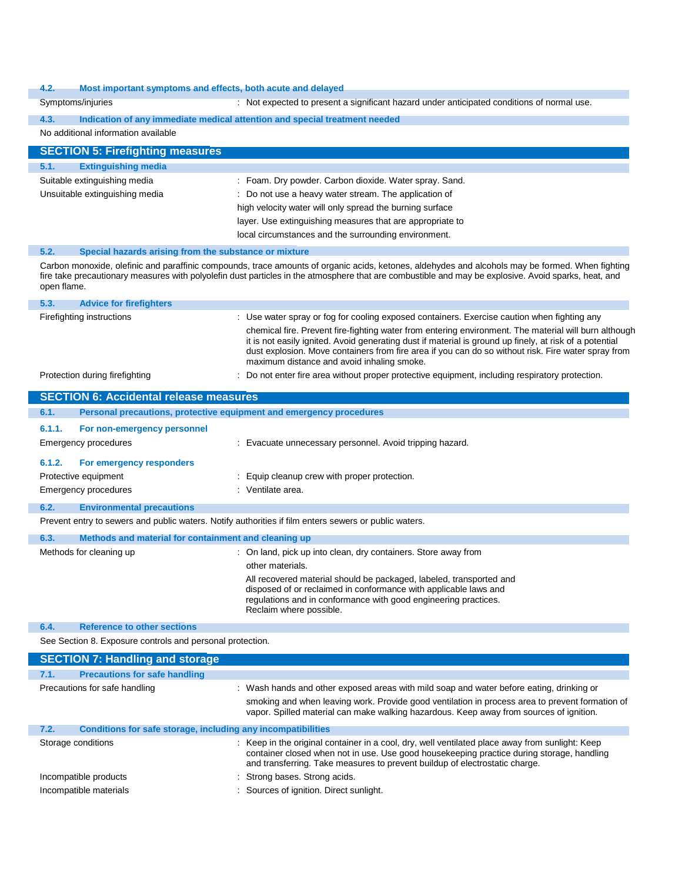#### **4.2. Most important symptoms and effects, both acute and delayed**

| 4.Z.                                                                         | Most important symptoms and effects, both acute and delayed                                                                                                                                                                                                                                                                                                           |
|------------------------------------------------------------------------------|-----------------------------------------------------------------------------------------------------------------------------------------------------------------------------------------------------------------------------------------------------------------------------------------------------------------------------------------------------------------------|
| Symptoms/injuries                                                            | : Not expected to present a significant hazard under anticipated conditions of normal use.                                                                                                                                                                                                                                                                            |
| 4.3.                                                                         | Indication of any immediate medical attention and special treatment needed                                                                                                                                                                                                                                                                                            |
| No additional information available                                          |                                                                                                                                                                                                                                                                                                                                                                       |
| <b>SECTION 5: Firefighting measures</b>                                      |                                                                                                                                                                                                                                                                                                                                                                       |
| 5.1.<br><b>Extinguishing media</b>                                           |                                                                                                                                                                                                                                                                                                                                                                       |
| Suitable extinguishing media                                                 | : Foam. Dry powder. Carbon dioxide. Water spray. Sand.                                                                                                                                                                                                                                                                                                                |
| Unsuitable extinguishing media                                               | : Do not use a heavy water stream. The application of                                                                                                                                                                                                                                                                                                                 |
|                                                                              | high velocity water will only spread the burning surface                                                                                                                                                                                                                                                                                                              |
|                                                                              | layer. Use extinguishing measures that are appropriate to                                                                                                                                                                                                                                                                                                             |
|                                                                              | local circumstances and the surrounding environment.                                                                                                                                                                                                                                                                                                                  |
| 5.2.<br>Special hazards arising from the substance or mixture<br>open flame. | Carbon monoxide, olefinic and paraffinic compounds, trace amounts of organic acids, ketones, aldehydes and alcohols may be formed. When fighting<br>fire take precautionary measures with polyolefin dust particles in the atmosphere that are combustible and may be explosive. Avoid sparks, heat, and                                                              |
| 5.3.<br><b>Advice for firefighters</b>                                       |                                                                                                                                                                                                                                                                                                                                                                       |
| Firefighting instructions                                                    | : Use water spray or fog for cooling exposed containers. Exercise caution when fighting any                                                                                                                                                                                                                                                                           |
|                                                                              | chemical fire. Prevent fire-fighting water from entering environment. The material will burn although<br>it is not easily ignited. Avoid generating dust if material is ground up finely, at risk of a potential<br>dust explosion. Move containers from fire area if you can do so without risk. Fire water spray from<br>maximum distance and avoid inhaling smoke. |
| Protection during firefighting                                               | : Do not enter fire area without proper protective equipment, including respiratory protection.                                                                                                                                                                                                                                                                       |
| <b>SECTION 6: Accidental release measures</b>                                |                                                                                                                                                                                                                                                                                                                                                                       |
| 6.1.                                                                         | Personal precautions, protective equipment and emergency procedures                                                                                                                                                                                                                                                                                                   |
| 6.1.1.<br>For non-emergency personnel                                        |                                                                                                                                                                                                                                                                                                                                                                       |
| <b>Emergency procedures</b>                                                  | : Evacuate unnecessary personnel. Avoid tripping hazard.                                                                                                                                                                                                                                                                                                              |
| 6.1.2.<br>For emergency responders                                           |                                                                                                                                                                                                                                                                                                                                                                       |
| Protective equipment                                                         | : Equip cleanup crew with proper protection.                                                                                                                                                                                                                                                                                                                          |
| Emergency procedures                                                         | : Ventilate area.                                                                                                                                                                                                                                                                                                                                                     |
| 6.2.<br><b>Environmental precautions</b>                                     |                                                                                                                                                                                                                                                                                                                                                                       |
|                                                                              | Prevent entry to sewers and public waters. Notify authorities if film enters sewers or public waters.                                                                                                                                                                                                                                                                 |
| 6.3.<br>Methods and material for containment and cleaning up                 |                                                                                                                                                                                                                                                                                                                                                                       |
| Methods for cleaning up                                                      | : On land, pick up into clean, dry containers. Store away from                                                                                                                                                                                                                                                                                                        |
|                                                                              | other materials.                                                                                                                                                                                                                                                                                                                                                      |
|                                                                              | All recovered material should be packaged, labeled, transported and<br>disposed of or reclaimed in conformance with applicable laws and<br>regulations and in conformance with good engineering practices.<br>Reclaim where possible.                                                                                                                                 |
| 6.4.<br><b>Reference to other sections</b>                                   |                                                                                                                                                                                                                                                                                                                                                                       |
| See Section 8. Exposure controls and personal protection.                    |                                                                                                                                                                                                                                                                                                                                                                       |
| <b>SECTION 7: Handling and storage</b>                                       |                                                                                                                                                                                                                                                                                                                                                                       |
| 7.1.<br><b>Precautions for safe handling</b>                                 |                                                                                                                                                                                                                                                                                                                                                                       |
| Precautions for safe handling                                                | : Wash hands and other exposed areas with mild soap and water before eating, drinking or<br>smoking and when leaving work. Provide good ventilation in process area to prevent formation of<br>vapor. Spilled material can make walking hazardous. Keep away from sources of ignition.                                                                                |
| Conditions for safe storage, including any incompatibilities<br>7.2.         |                                                                                                                                                                                                                                                                                                                                                                       |
| Storage conditions                                                           | : Keep in the original container in a cool, dry, well ventilated place away from sunlight: Keep<br>container closed when not in use. Use good housekeeping practice during storage, handling<br>and transferring. Take measures to prevent buildup of electrostatic charge.                                                                                           |
| Incompatible products                                                        | Strong bases. Strong acids.                                                                                                                                                                                                                                                                                                                                           |
| Incompatible materials                                                       | : Sources of ignition. Direct sunlight.                                                                                                                                                                                                                                                                                                                               |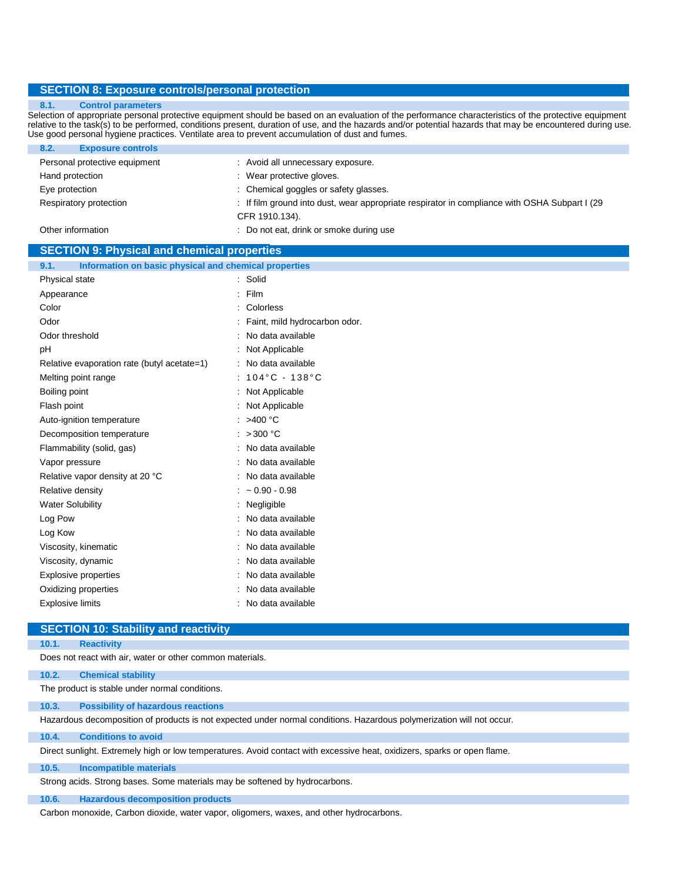#### **SECTION 8: Exposure controls/personal protection**

#### **8.1. Control parameters**

Selection of appropriate personal protective equipment should be based on an evaluation of the performance characteristics of the protective equipment relative to the task(s) to be performed, conditions present, duration of use, and the hazards and/or potential hazards that may be encountered during use. Use good personal hygiene practices. Ventilate area to prevent accumulation of dust and fumes.

| <b>Exposure controls</b><br>8.2. |                                                                                               |
|----------------------------------|-----------------------------------------------------------------------------------------------|
| Personal protective equipment    | : Avoid all unnecessary exposure.                                                             |
| Hand protection                  | : Wear protective gloves.                                                                     |
| Eye protection                   | : Chemical goggles or safety glasses.                                                         |
| Respiratory protection           | : If film ground into dust, wear appropriate respirator in compliance with OSHA Subpart I (29 |
|                                  | CFR 1910.134).                                                                                |
| Other information                | : Do not eat, drink or smoke during use                                                       |
|                                  |                                                                                               |

## **SECTION 9: Physical and chemical properties**

| Information on basic physical and chemical properties<br>9.1. |                                     |
|---------------------------------------------------------------|-------------------------------------|
| Physical state                                                | : Solid                             |
| Appearance                                                    | Film<br>÷.                          |
| Color                                                         | : Colorless                         |
| Odor                                                          | : Faint, mild hydrocarbon odor.     |
| Odor threshold                                                | : No data available                 |
| рH                                                            | : Not Applicable                    |
| Relative evaporation rate (butyl acetate=1)                   | : No data available                 |
| Melting point range                                           | : $104^{\circ}$ C - $138^{\circ}$ C |
| Boiling point                                                 | : Not Applicable                    |
| Flash point                                                   | : Not Applicable                    |
| Auto-ignition temperature                                     | : $>400^{\circ}$ C                  |
| Decomposition temperature                                     | : $>300$ °C                         |
| Flammability (solid, gas)                                     | : No data available                 |
| Vapor pressure                                                | : No data available                 |
| Relative vapor density at 20 °C                               | : No data available                 |
| Relative density                                              | $: -0.90 - 0.98$                    |
| <b>Water Solubility</b>                                       | : Negligible                        |
| Log Pow                                                       | : No data available                 |
| Log Kow                                                       | : No data available                 |
| Viscosity, kinematic                                          | : No data available                 |
| Viscosity, dynamic                                            | : No data available                 |
| Explosive properties                                          | : No data available                 |
| Oxidizing properties                                          | : No data available                 |
| <b>Explosive limits</b>                                       | : No data available                 |

## **SECTION 10: Stability and reactivity**

#### **10.1. Reactivity**

Does not react with air, water or other common materials.

#### **10.2. Chemical stability**

The product is stable under normal conditions.

**10.3. Possibility of hazardous reactions**

Hazardous decomposition of products is not expected under normal conditions. Hazardous polymerization will not occur.

#### **10.4. Conditions to avoid**

Direct sunlight. Extremely high or low temperatures. Avoid contact with excessive heat, oxidizers, sparks or open flame.

#### **10.5. Incompatible materials**

Strong acids. Strong bases. Some materials may be softened by hydrocarbons.

#### **10.6. Hazardous decomposition products**

Carbon monoxide, Carbon dioxide, water vapor, oligomers, waxes, and other hydrocarbons.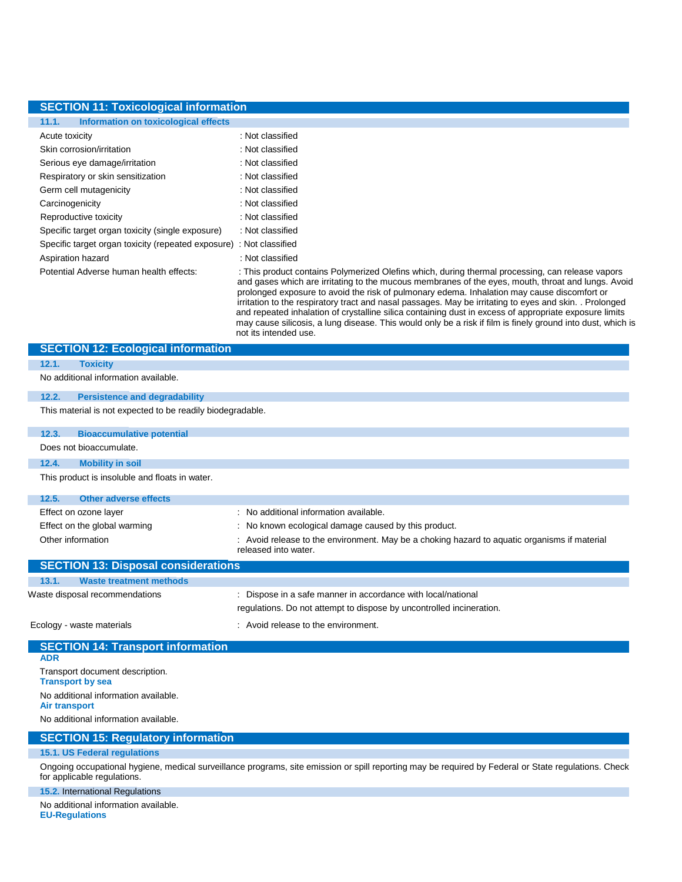# **SECTION 11: Toxicological information**

| Information on toxicological effects<br>11.1.                       |                                                                                                                                                                                                                                                                                                                                                                                                                |
|---------------------------------------------------------------------|----------------------------------------------------------------------------------------------------------------------------------------------------------------------------------------------------------------------------------------------------------------------------------------------------------------------------------------------------------------------------------------------------------------|
| Acute toxicity                                                      | : Not classified                                                                                                                                                                                                                                                                                                                                                                                               |
| Skin corrosion/irritation                                           | : Not classified                                                                                                                                                                                                                                                                                                                                                                                               |
| Serious eye damage/irritation                                       | : Not classified                                                                                                                                                                                                                                                                                                                                                                                               |
| Respiratory or skin sensitization                                   | : Not classified                                                                                                                                                                                                                                                                                                                                                                                               |
| Germ cell mutagenicity                                              | : Not classified                                                                                                                                                                                                                                                                                                                                                                                               |
| Carcinogenicity                                                     | : Not classified                                                                                                                                                                                                                                                                                                                                                                                               |
| Reproductive toxicity                                               | : Not classified                                                                                                                                                                                                                                                                                                                                                                                               |
| Specific target organ toxicity (single exposure)                    | : Not classified                                                                                                                                                                                                                                                                                                                                                                                               |
| Specific target organ toxicity (repeated exposure) : Not classified |                                                                                                                                                                                                                                                                                                                                                                                                                |
| Aspiration hazard                                                   | : Not classified                                                                                                                                                                                                                                                                                                                                                                                               |
| Potential Adverse human health effects:                             | : This product contains Polymerized Olefins which, during thermal processing, can release vapors<br>and gases which are irritating to the mucous membranes of the eyes, mouth, throat and lungs. Avoid<br>prolonged exposure to avoid the risk of pulmonary edema. Inhalation may cause discomfort or<br>irritation to the recpiratory tract and nacel naccages. May be irritation to eyes and skip. Prolonged |

irritation to the respiratory tract and nasal passages. May be irritating to eyes and skin. . Prolonged and repeated inhalation of crystalline silica containing dust in excess of appropriate exposure limits may cause silicosis, a lung disease. This would only be a risk if film is finely ground into dust, which is not its intended use.

| <b>SECTION 12: Ecological information</b>                    |                                                                                                                      |
|--------------------------------------------------------------|----------------------------------------------------------------------------------------------------------------------|
| <b>Toxicity</b><br>12.1.                                     |                                                                                                                      |
| No additional information available.                         |                                                                                                                      |
| 12.2.<br><b>Persistence and degradability</b>                |                                                                                                                      |
| This material is not expected to be readily biodegradable.   |                                                                                                                      |
| <b>Bioaccumulative potential</b><br>12.3.                    |                                                                                                                      |
| Does not bioaccumulate.                                      |                                                                                                                      |
| <b>Mobility in soil</b><br>12.4.                             |                                                                                                                      |
| This product is insoluble and floats in water.               |                                                                                                                      |
| 12.5.<br><b>Other adverse effects</b>                        |                                                                                                                      |
| Effect on ozone layer                                        | : No additional information available.                                                                               |
| Effect on the global warming                                 | : No known ecological damage caused by this product.                                                                 |
| Other information                                            | : Avoid release to the environment. May be a choking hazard to aquatic organisms if material<br>released into water. |
| <b>SECTION 13: Disposal considerations</b>                   |                                                                                                                      |
| <b>Waste treatment methods</b><br>13.1.                      |                                                                                                                      |
| Waste disposal recommendations                               | : Dispose in a safe manner in accordance with local/national                                                         |
|                                                              | regulations. Do not attempt to dispose by uncontrolled incineration.                                                 |
| Ecology - waste materials                                    | : Avoid release to the environment.                                                                                  |
| <b>SECTION 14: Transport information</b><br><b>ADR</b>       |                                                                                                                      |
| Transport document description.                              |                                                                                                                      |
| <b>Transport by sea</b>                                      |                                                                                                                      |
| No additional information available.<br><b>Air transport</b> |                                                                                                                      |
| No additional information available.                         |                                                                                                                      |
| <b>SECTION 15: Regulatory information</b>                    |                                                                                                                      |
| <b>15.1. US Federal regulations</b>                          |                                                                                                                      |

#### **15.1. US Federal regulations**

Ongoing occupational hygiene, medical surveillance programs, site emission or spill reporting may be required by Federal or State regulations. Check for applicable regulations.

# **15.2.** International Regulations

No additional information available. **EU-Regulations**